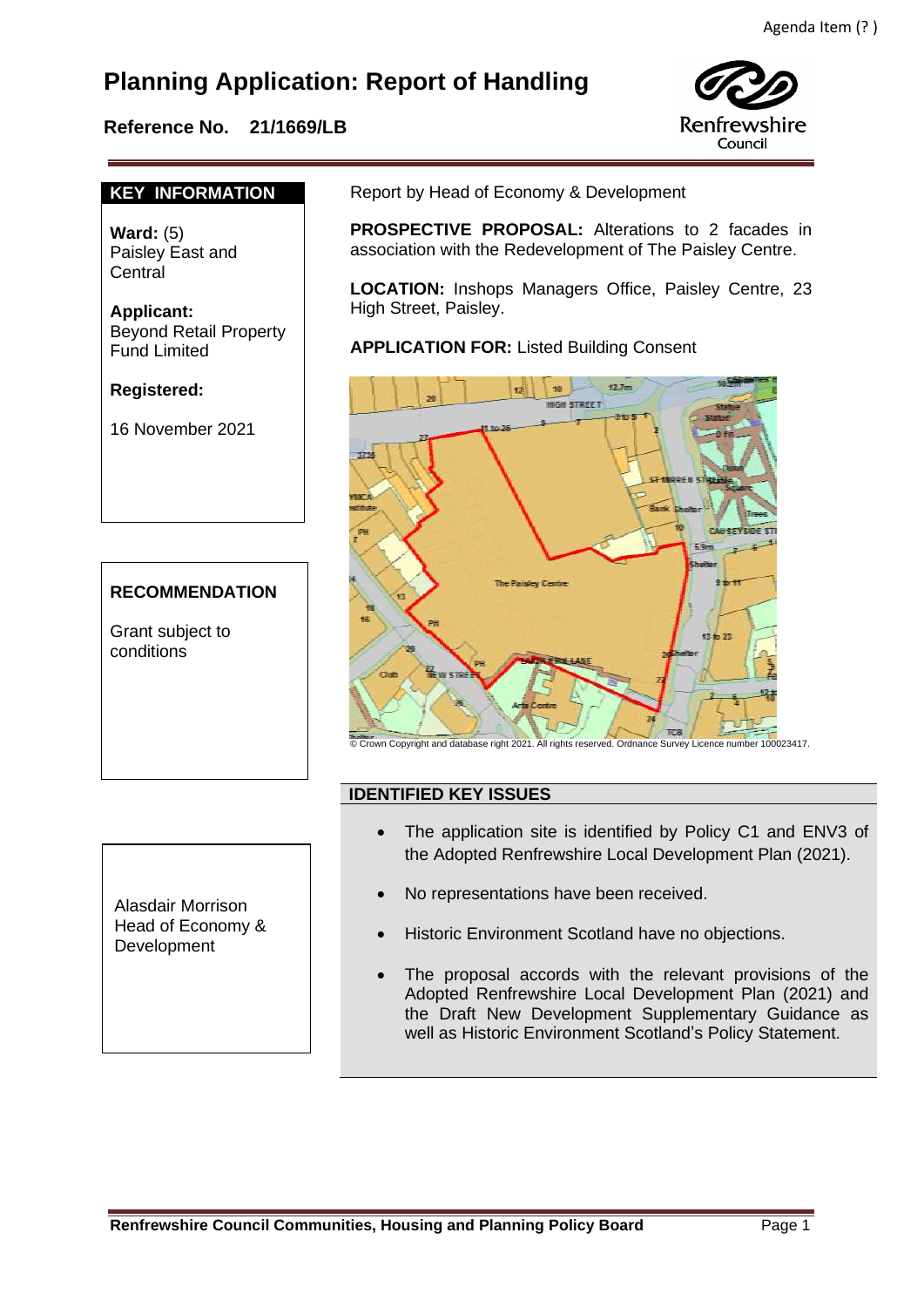# **Planning Application: Report of Handling**

## **Reference No. 21/1669/LB**



### **KEY INFORMATION**

**Ward:** (5) Paisley East and Central

**Applicant:** Beyond Retail Property Fund Limited

**Registered:** 

16 November 2021

## **RECOMMENDATION**

Grant subject to conditions

Report by Head of Economy & Development

 **PROSPECTIVE PROPOSAL:** Alterations to 2 facades in association with the Redevelopment of The Paisley Centre.

**LOCATION:** Inshops Managers Office, Paisley Centre, 23 High Street, Paisley.

**APPLICATION FOR:** Listed Building Consent



© Crown Copyright and database right 2021. All rights reserved. Ordnance Survey Licence number 100023417.

## **IDENTIFIED KEY ISSUES**

- The application site is identified by Policy C1 and ENV3 of the Adopted Renfrewshire Local Development Plan (2021).
- No representations have been received.
- Historic Environment Scotland have no objections.
- The proposal accords with the relevant provisions of the Adopted Renfrewshire Local Development Plan (2021) and the Draft New Development Supplementary Guidance as well as Historic Environment Scotland's Policy Statement.

Alasdair Morrison Head of Economy & Development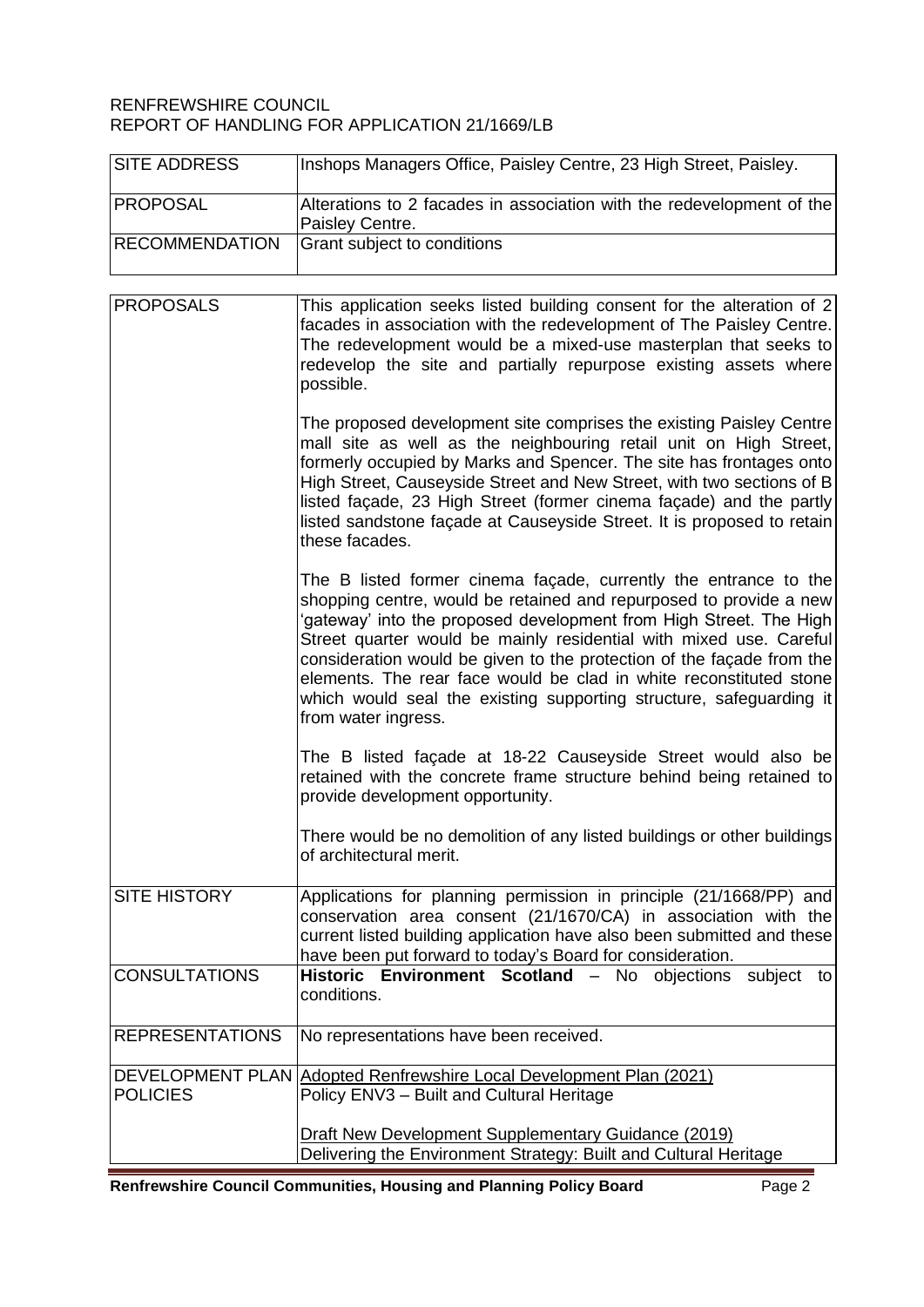#### RENFREWSHIRE COUNCIL REPORT OF HANDLING FOR APPLICATION 21/1669/LB

| <b>SITE ADDRESS</b>   | Inshops Managers Office, Paisley Centre, 23 High Street, Paisley.                                                                                                                                                                                                                                                                                                                                                                                           |
|-----------------------|-------------------------------------------------------------------------------------------------------------------------------------------------------------------------------------------------------------------------------------------------------------------------------------------------------------------------------------------------------------------------------------------------------------------------------------------------------------|
| <b>PROPOSAL</b>       | Alterations to 2 facades in association with the redevelopment of the<br>Paisley Centre.                                                                                                                                                                                                                                                                                                                                                                    |
| <b>RECOMMENDATION</b> | Grant subject to conditions                                                                                                                                                                                                                                                                                                                                                                                                                                 |
| <b>PROPOSALS</b>      | This application seeks listed building consent for the alteration of 2<br>facades in association with the redevelopment of The Paisley Centre.<br>The redevelopment would be a mixed-use masterplan that seeks to<br>redevelop the site and partially repurpose existing assets where<br>possible.                                                                                                                                                          |
|                       | The proposed development site comprises the existing Paisley Centre<br>mall site as well as the neighbouring retail unit on High Street,<br>formerly occupied by Marks and Spencer. The site has frontages onto<br>High Street, Causeyside Street and New Street, with two sections of B<br>listed façade, 23 High Street (former cinema façade) and the partly<br>listed sandstone façade at Causeyside Street. It is proposed to retain<br>these facades. |

The B listed former cinema façade, currently the entrance to the shopping centre, would be retained and repurposed to provide a new 'gateway' into the proposed development from High Street. The High Street quarter would be mainly residential with mixed use. Careful consideration would be given to the protection of the façade from the elements. The rear face would be clad in white reconstituted stone which would seal the existing supporting structure, safeguarding it from water ingress.

The B listed façade at 18-22 Causeyside Street would also be retained with the concrete frame structure behind being retained to provide development opportunity.

There would be no demolition of any listed buildings or other buildings of architectural merit.

| <b>SITE HISTORY</b> | Applications for planning permission in principle (21/1668/PP) and     |
|---------------------|------------------------------------------------------------------------|
|                     | conservation area consent (21/1670/CA) in association with the         |
|                     | current listed building application have also been submitted and these |
|                     | have been put forward to today's Board for consideration.              |
| CONSULTATIONS       | Historic Environment Scotland - No objections subject to               |

| <u> 8888888888888</u>  | <b>NO ODJOUGHO OGDJOU W</b><br>conditions.                                                                              |
|------------------------|-------------------------------------------------------------------------------------------------------------------------|
| <b>REPRESENTATIONS</b> | No representations have been received.                                                                                  |
| <b>POLICIES</b>        | DEVELOPMENT PLAN Adopted Renfrewshire Local Development Plan (2021)<br>Policy ENV3 - Built and Cultural Heritage        |
|                        | Draft New Development Supplementary Guidance (2019)<br>Delivering the Environment Strategy: Built and Cultural Heritage |

**Renfrewshire Council Communities, Housing and Planning Policy Board Page 2** Page 2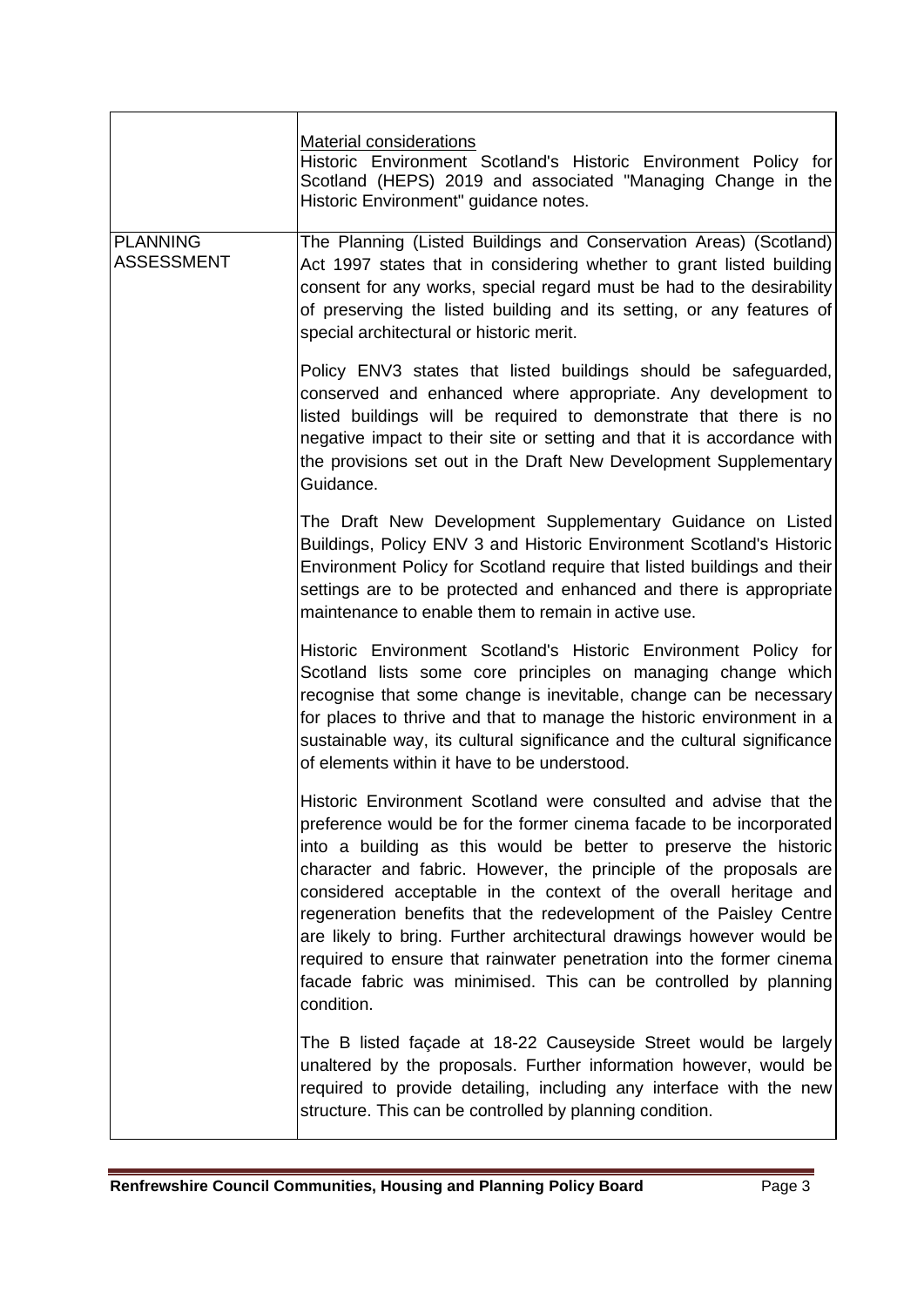|                                      | Material considerations<br>Historic Environment Scotland's Historic Environment Policy for<br>Scotland (HEPS) 2019 and associated "Managing Change in the<br>Historic Environment" guidance notes.                                                                                                                                                                                                                                                                                                                                                                                                                                                          |
|--------------------------------------|-------------------------------------------------------------------------------------------------------------------------------------------------------------------------------------------------------------------------------------------------------------------------------------------------------------------------------------------------------------------------------------------------------------------------------------------------------------------------------------------------------------------------------------------------------------------------------------------------------------------------------------------------------------|
| <b>PLANNING</b><br><b>ASSESSMENT</b> | The Planning (Listed Buildings and Conservation Areas) (Scotland)<br>Act 1997 states that in considering whether to grant listed building<br>consent for any works, special regard must be had to the desirability<br>of preserving the listed building and its setting, or any features of<br>special architectural or historic merit.                                                                                                                                                                                                                                                                                                                     |
|                                      | Policy ENV3 states that listed buildings should be safeguarded,<br>conserved and enhanced where appropriate. Any development to<br>listed buildings will be required to demonstrate that there is no<br>negative impact to their site or setting and that it is accordance with<br>the provisions set out in the Draft New Development Supplementary<br>Guidance.                                                                                                                                                                                                                                                                                           |
|                                      | The Draft New Development Supplementary Guidance on Listed<br>Buildings, Policy ENV 3 and Historic Environment Scotland's Historic<br>Environment Policy for Scotland require that listed buildings and their<br>settings are to be protected and enhanced and there is appropriate<br>maintenance to enable them to remain in active use.                                                                                                                                                                                                                                                                                                                  |
|                                      | Historic Environment Scotland's Historic Environment Policy for<br>Scotland lists some core principles on managing change which<br>recognise that some change is inevitable, change can be necessary<br>for places to thrive and that to manage the historic environment in a<br>sustainable way, its cultural significance and the cultural significance<br>of elements within it have to be understood.                                                                                                                                                                                                                                                   |
|                                      | Historic Environment Scotland were consulted and advise that the<br>preference would be for the former cinema facade to be incorporated<br>into a building as this would be better to preserve the historic<br>character and fabric. However, the principle of the proposals are<br>considered acceptable in the context of the overall heritage and<br>regeneration benefits that the redevelopment of the Paisley Centre<br>are likely to bring. Further architectural drawings however would be<br>required to ensure that rainwater penetration into the former cinema<br>facade fabric was minimised. This can be controlled by planning<br>condition. |
|                                      | The B listed façade at 18-22 Causeyside Street would be largely<br>unaltered by the proposals. Further information however, would be<br>required to provide detailing, including any interface with the new<br>structure. This can be controlled by planning condition.                                                                                                                                                                                                                                                                                                                                                                                     |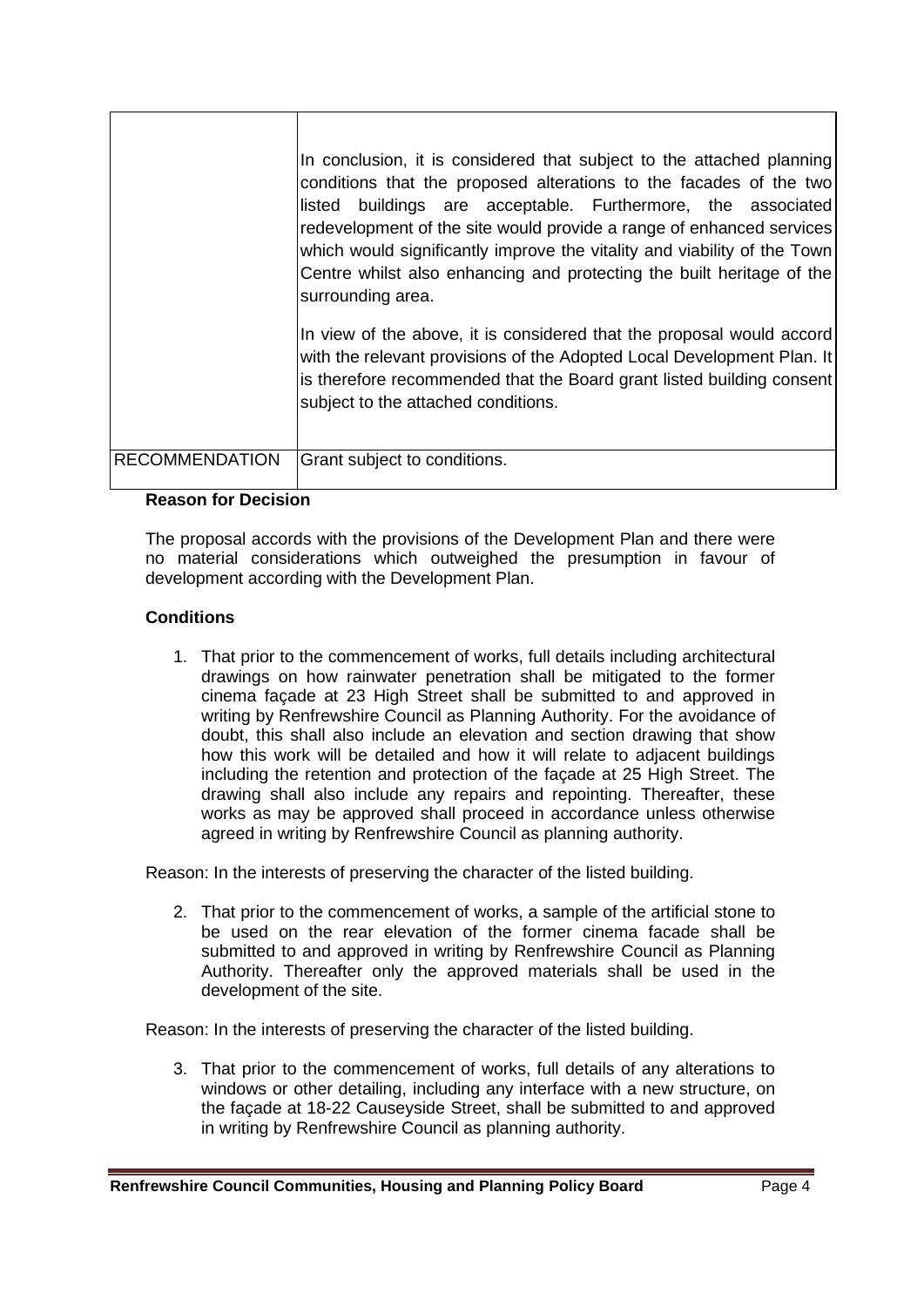|                       | In conclusion, it is considered that subject to the attached planning<br>conditions that the proposed alterations to the facades of the two<br>listed buildings are acceptable. Furthermore, the associated<br>redevelopment of the site would provide a range of enhanced services<br>which would significantly improve the vitality and viability of the Town<br>Centre whilst also enhancing and protecting the built heritage of the<br>surrounding area.<br>In view of the above, it is considered that the proposal would accord<br>with the relevant provisions of the Adopted Local Development Plan. It<br>is therefore recommended that the Board grant listed building consent<br>subject to the attached conditions. |
|-----------------------|----------------------------------------------------------------------------------------------------------------------------------------------------------------------------------------------------------------------------------------------------------------------------------------------------------------------------------------------------------------------------------------------------------------------------------------------------------------------------------------------------------------------------------------------------------------------------------------------------------------------------------------------------------------------------------------------------------------------------------|
| <b>RECOMMENDATION</b> | Grant subject to conditions.                                                                                                                                                                                                                                                                                                                                                                                                                                                                                                                                                                                                                                                                                                     |

#### **Reason for Decision**

The proposal accords with the provisions of the Development Plan and there were no material considerations which outweighed the presumption in favour of development according with the Development Plan.

#### **Conditions**

1. That prior to the commencement of works, full details including architectural drawings on how rainwater penetration shall be mitigated to the former cinema façade at 23 High Street shall be submitted to and approved in writing by Renfrewshire Council as Planning Authority. For the avoidance of doubt, this shall also include an elevation and section drawing that show how this work will be detailed and how it will relate to adjacent buildings including the retention and protection of the façade at 25 High Street. The drawing shall also include any repairs and repointing. Thereafter, these works as may be approved shall proceed in accordance unless otherwise agreed in writing by Renfrewshire Council as planning authority.

Reason: In the interests of preserving the character of the listed building.

2. That prior to the commencement of works, a sample of the artificial stone to be used on the rear elevation of the former cinema facade shall be submitted to and approved in writing by Renfrewshire Council as Planning Authority. Thereafter only the approved materials shall be used in the development of the site.

Reason: In the interests of preserving the character of the listed building.

3. That prior to the commencement of works, full details of any alterations to windows or other detailing, including any interface with a new structure, on the façade at 18-22 Causeyside Street, shall be submitted to and approved in writing by Renfrewshire Council as planning authority.